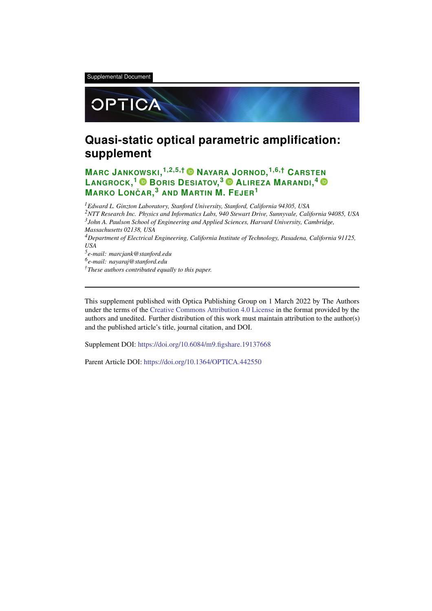Supplemental Document



# **Quasi-static optical parametric amplification: supplement**

**MARC JANKOWSKI, 1,2,5,† NAYARA JORNOD, 1,6,† CARSTEN LANGROCK, <sup>1</sup> BORIS DESIATOV, <sup>3</sup> ALIREZA MARANDI, 4 MARKO LONCAR ˇ , <sup>3</sup> AND MARTIN M. FEJER<sup>1</sup>**

*Edward L. Ginzton Laboratory, Stanford University, Stanford, California 94305, USA NTT Research Inc. Physics and Informatics Labs, 940 Stewart Drive, Sunnyvale, California 94085, USA John A. Paulson School of Engineering and Applied Sciences, Harvard University, Cambridge, Massachusetts 02138, USA Department of Electrical Engineering, California Institute of Technology, Pasadena, California 91125, USA e-mail: marcjank@stanford.edu e-mail: nayaraj@stanford.edu †These authors contributed equally to this paper.*

This supplement published with Optica Publishing Group on 1 March 2022 by The Authors under the terms of the Creative Commons Attribution 4.0 License in the format provided by the authors and unedited. Further distribution of this work must maintain attribution to the author(s) and the published article's title, journal citation, and DOI.

Supplement DOI: https://doi.org/10.6084/m9.figshare.19137668

Parent Article DOI: https://doi.org/10.1364/OPTICA.442550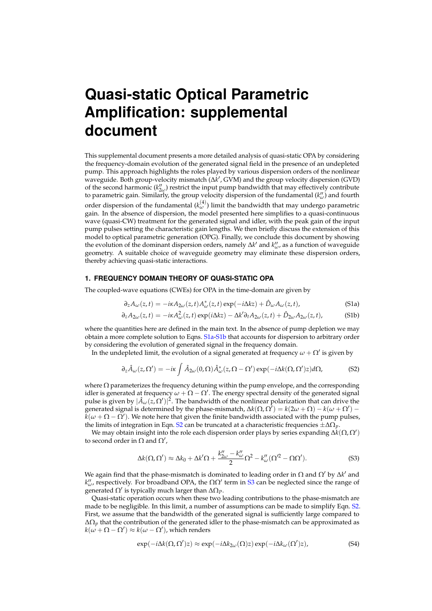# **Quasi-static Optical Parametric Amplification: supplemental** document

This supplemental document presents a more detailed analysis of quasi-static OPA by considering the frequency-domain evolution of the generated signal field in the presence of an undepleted pump. This approach highlights the roles played by various dispersion orders of the nonlinear waveguide. Both group-velocity mismatch  $(\Delta k',$  GVM) and the group velocity dispersion (GVD) of the second harmonic  $(k''_{2\omega})$  restrict the input pump bandwidth that may effectively contribute to parametric gain. Similarly, the group velocity dispersion of the fundamental  $(k_{\omega}^{\prime\prime})$  and fourth order dispersion of the fundamental  $(k_{\omega}^{(4)})$  limit the bandwidth that may undergo parametric gain. In the absence of dispersion, the model presented here simplifies to a quasi-continuous wave (quasi-CW) treatment for the generated signal and idler, with the peak gain of the input pump pulses setting the characteristic gain lengths. We then briefly discuss the extension of this model to optical parametric generation (OPG). Finally, we conclude this document by showing the evolution of the dominant dispersion orders, namely  $\Delta k'$  and  $k''_{\omega}$ , as a function of waveguide geometry. A suitable choice of waveguide geometry may eliminate these dispersion orders, thereby achieving quasi-static interactions.

#### 1. FREQUENCY DOMAIN THEORY OF QUASI-STATIC OPA

The coupled-wave equations (CWEs) for OPA in the time-domain are given by

$$
\partial_z A_{\omega}(z,t) = -i\kappa A_{2\omega}(z,t) A_{\omega}^*(z,t) \exp(-i\Delta kz) + \hat{D}_{\omega} A_{\omega}(z,t), \tag{S1a}
$$

$$
\partial_z A_{2\omega}(z,t) = -i\kappa A_{\omega}^2(z,t) \exp(i\Delta kz) - \Delta k' \partial_t A_{2\omega}(z,t) + \hat{D}_{2\omega} A_{2\omega}(z,t),
$$
 (S1b)

where the quantities here are defined in the main text. In the absence of pump depletion we may obtain a more complete solution to Eqns. S1a-S1b that accounts for dispersion to arbitrary order by considering the evolution of generated signal in the frequency domain.

In the undepleted limit, the evolution of a signal generated at frequency  $\omega + \Omega'$  is given by

$$
\partial_z \hat{A}_{\omega}(z,\Omega') = -i\kappa \int \hat{A}_{2\omega}(0,\Omega)\hat{A}_{\omega}^*(z,\Omega-\Omega')\exp(-i\Delta k(\Omega,\Omega')z)d\Omega,
$$
 (S2)

where  $\Omega$  parameterizes the frequency detuning within the pump envelope, and the corresponding idler is generated at frequency  $\omega + \Omega - \Omega'$ . The energy spectral density of the generated signal pulse is given by  $|\hat{A}_{\omega}(z,\Omega')|^2$ . The bandwidth of the nonlinear polarization that can drive the generated signal is determined by the phase-mismatch,  $\Delta k(\Omega, \Omega') = k(2\omega + \Omega) - k(\omega + \Omega')$  $k(\omega + \Omega - \Omega')$ . We note here that given the finite bandwidth associated with the pump pulses, the limits of integration in Eqn. S2 can be truncated at a characteristic frequencies  $\pm \Delta \Omega_p$ .

We may obtain insight into the role each dispersion order plays by series expanding  $\Delta k(\Omega,\Omega')$ to second order in  $\Omega$  and  $\Omega'$ ,

$$
\Delta k(\Omega,\Omega') \approx \Delta k_0 + \Delta k' \Omega + \frac{k''_{2\omega} - k''_{\omega}}{2} \Omega^2 - k''_{\omega} (\Omega'^2 - \Omega \Omega'). \tag{S3}
$$

We again find that the phase-mismatch is dominated to leading order in  $\Omega$  and  $\Omega'$  by  $\Delta k'$  and  $k''_{\omega}$  respectively. For broadband OPA, the  $\Omega\Omega'$  term in S3 can be neglected since the range of generated  $\Omega'$  is typically much larger than  $\Delta\Omega$ *p*.

Quasi-static operation occurs when these two leading contributions to the phase-mismatch are made to be negligible. In this limit, a number of assumptions can be made to simplify Eqn. S2. First, we assume that the bandwidth of the generated signal is sufficiently large compared to  $\Delta\Omega_p$  that the contribution of the generated idler to the phase-mismatch can be approximated as  $k(\omega + \Omega - \Omega') \approx k(\omega - \Omega')$ , which renders

$$
\exp(-i\Delta k(\Omega, \Omega')z) \approx \exp(-i\Delta k_{2\omega}(\Omega)z) \exp(-i\Delta k_{\omega}(\Omega')z), \tag{S4}
$$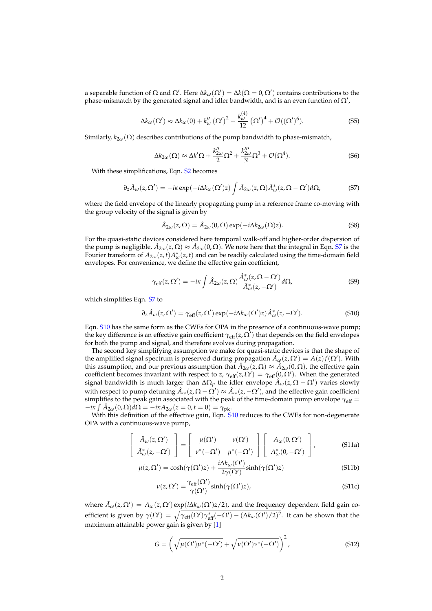a separable function of  $\Omega$  and  $\Omega'$ . Here  $\Delta k_{\omega}(\Omega') = \Delta k(\Omega = 0, \Omega')$  contains contributions to the phase-mismatch by the generated signal and idler bandwidth, and is an even function of  $\Omega'$ ,

$$
\Delta k_{\omega}(\Omega') \approx \Delta k_{\omega}(0) + k_{\omega}''(\Omega')^2 + \frac{k_{\omega}^{(4)}}{12}(\Omega')^4 + \mathcal{O}((\Omega')^6). \tag{S5}
$$

Similarly,  $k_{2\omega}(\Omega)$  describes contributions of the pump bandwidth to phase-mismatch,

$$
\Delta k_{2\omega}(\Omega) \approx \Delta k' \Omega + \frac{k''_{2\omega}}{2} \Omega^2 + \frac{k''_{2\omega}}{3!} \Omega^3 + \mathcal{O}(\Omega^4). \tag{S6}
$$

With these simplifications, Eqn. S<sub>2</sub> becomes

$$
\partial_z \hat{A}_{\omega}(z,\Omega') = -i\kappa \exp(-i\Delta k_{\omega}(\Omega')z) \int \hat{A}_{2\omega}(z,\Omega)\hat{A}_{\omega}^*(z,\Omega-\Omega')d\Omega,
$$
 (S7)

where the field envelope of the linearly propagating pump in a reference frame co-moving with the group velocity of the signal is given by

$$
\hat{A}_{2\omega}(z,\Omega) = \hat{A}_{2\omega}(0,\Omega)\exp(-i\Delta k_{2\omega}(\Omega)z). \tag{S8}
$$

For the quasi-static devices considered here temporal walk-off and higher-order dispersion of the pump is negligible,  $\hat{A}_{2\omega}(z,\Omega) \approx \hat{A}_{2\omega}(0,\Omega)$ . We note here that the integral in Eqn. S7 is the Fourier transform of  $A_{2\omega}(z,t)A_{\omega}^*(z,t)$  and can be readily calculated using the time-domain field envelopes. For convenience, we define the effective gain coefficient,

$$
\gamma_{\text{eff}}(z,\Omega') = -i\kappa \int \hat{A}_{2\omega}(z,\Omega) \frac{\hat{A}_{\omega}^*(z,\Omega-\Omega')}{\hat{A}_{\omega}^*(z,-\Omega')} d\Omega,\tag{S9}
$$

which simplifies Eqn. S7 to

$$
\partial_z \hat{A}_{\omega}(z,\Omega') = \gamma_{\rm eff}(z,\Omega') \exp(-i\Delta k_{\omega}(\Omega')z) \hat{A}_{\omega}^*(z,-\Omega'). \tag{S10}
$$

Eqn. S10 has the same form as the CWEs for OPA in the presence of a continuous-wave pump; the key difference is an effective gain coefficient  $\gamma_{\text{eff}}(z,\Omega')$  that depends on the field envelopes for both the pump and signal, and therefore evolves during propagation.

The second key simplifying assumption we make for quasi-static devices is that the shape of the amplified signal spectrum is preserved during propagation  $\hat{A}_{\omega}(z,\Omega') = A(z)f(\Omega')$ . With this assumption, and our previous assumption that  $\hat{A}_{2\omega}(z,\Omega) \approx \hat{A}_{2\omega}(0,\Omega)$ , the effective gain coefficient becomes invariant with respect to z,  $\gamma_{\text{eff}}(z,\Omega') = \gamma_{\text{eff}}(0,\Omega')$ . When the generated signal bandwidth is much larger than  $\Delta\Omega_p$  the idler envelope  $\hat{A}_\omega(z,\Omega-\Omega')$  varies slowly with respect to pump detuning  $\hat{A}_\omega(z,\Omega-\Omega')\approx \hat{A}_\omega(z,-\Omega')$ , and the effective gain coefficient simplifies to the peak gain associated with the peak of the time-domain pump envelope  $\gamma_{\rm eff}$  =  $- i\kappa \int \hat{A}_{2\omega}(0,\Omega) d\Omega = -i\kappa A_{2\omega}(z=0,t=0) = \gamma_{\rm pk}.$ 

With this definition of the effective gain, Eqn. S10 reduces to the CWEs for non-degenerate OPA with a continuous-wave pump,

$$
\begin{bmatrix}\n\tilde{A}_{\omega}(z,\Omega') \\
\tilde{A}_{\omega}^*(z,-\Omega')\n\end{bmatrix} = \begin{bmatrix}\n\mu(\Omega') & \nu(\Omega') \\
\nu^*(-\Omega') & \mu^*(-\Omega')\n\end{bmatrix} \begin{bmatrix}\nA_{\omega}(0,\Omega') \\
A_{\omega}^*(0,-\Omega')\n\end{bmatrix},
$$
\n(S11a)

$$
\mu(z,\Omega') = \cosh(\gamma(\Omega')z) + \frac{i\Delta k_{\omega}(\Omega')}{2\gamma(\Omega')} \sinh(\gamma(\Omega')z)
$$
\n(S11b)

$$
\nu(z,\Omega') = \frac{\gamma_{\text{eff}}(\Omega')}{\gamma(\Omega')} \sinh(\gamma(\Omega')z),\tag{S11c}
$$

where  $\tilde{A}_{\omega}(z,\Omega') = A_{\omega}(z,\Omega') \exp(i\Delta k_{\omega}(\Omega')z/2)$ , and the frequency dependent field gain coefficient is given by  $\gamma(\Omega') = \sqrt{\gamma_{eff}(\Omega')\gamma_{eff}^*(-\Omega') - (\Delta k_{\omega}(\Omega')/2)^2}$ . It can be shown that the maximum attainable power gain is given by [1]

$$
G = \left(\sqrt{\mu(\Omega')\mu^*(-\Omega')} + \sqrt{\nu(\Omega')\nu^*(-\Omega')}\right)^2,
$$
\n(S12)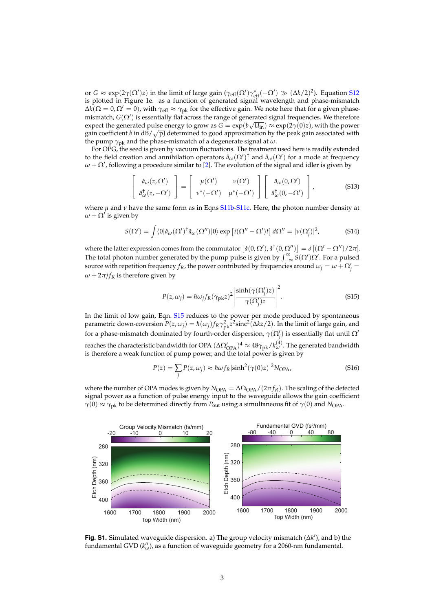or  $G \approx \exp(2\gamma(\Omega')z)$  in the limit of large gain  $(\gamma_{eff}(\Omega')\gamma_{eff}^*(-\Omega') \gg (\Delta k/2)^2)$ . Equation S12 is plotted in Figure 1e. as a function of generated signal wavelength and phase-mismatch  $\Delta k(\Omega = 0, \Omega' = 0)$ , with  $\gamma_{\text{eff}} \approx \gamma_{\text{pk}}$  for the effective gain. We note here that for a given phasemismatch,  $G(\Omega')$  is essentially flat across the range of generated signal frequencies. We therefore expect the generated pulse energy to grow as  $G = \exp(b\sqrt{U_{in}}) \approx \exp(2\gamma(0)z)$ , with the power gain coefficient b in  $dB/\sqrt{pJ}$  determined to good approximation by the peak gain associated with the pump  $\gamma_{\rm pk}$  and the phase-mismatch of a degenerate signal at  $\omega$ .

For OPG, the seed is given by vacuum fluctuations. The treatment used here is readily extended to the field creation and annihilation operators  $\hat{a}_{\omega}(\Omega')^{\dagger}$  and  $\hat{a}_{\omega}(\Omega')$  for a mode at frequency  $\omega + \Omega'$ , following a procedure similar to [2]. The evolution of the signal and idler is given by

$$
\begin{bmatrix}\n\hat{a}_{\omega}(z,\Omega') \\
\hat{a}_{\omega}^{\dagger}(z,-\Omega')\n\end{bmatrix} = \begin{bmatrix}\n\mu(\Omega') & \nu(\Omega') \\
\nu^*(-\Omega') & \mu^*(-\Omega')\n\end{bmatrix} \begin{bmatrix}\n\hat{a}_{\omega}(0,\Omega') \\
\hat{a}_{\omega}^{\dagger}(0,-\Omega')\n\end{bmatrix},
$$
\n(513)

where  $\mu$  and  $\nu$  have the same form as in Eqns S11b-S11c. Here, the photon number density at  $\omega + \Omega'$  is given by

$$
S(\Omega') = \int \langle 0|\hat{a}_{\omega}(\Omega')^{\dagger} \hat{a}_{\omega}(\Omega'')|0\rangle \exp[i(\Omega'' - \Omega')t] d\Omega'' = |\nu(\Omega'_j)|^2,
$$
 (S14)

where the latter expression comes from the commutator  $\left[\hat{a}(0,\Omega'),\hat{a}^{\dagger}(0,\Omega'')\right] = \delta\left[(\Omega'-\Omega'')/2\pi\right]$ . The total photon number generated by the pump pulse is given by  $\int_{-\infty}^{\infty} S(\Omega')\Omega'$ . For a pulsed source with repetition frequency  $f_R$ , the power contributed by frequencies around  $\omega_i = \omega + \Omega'_i$  $\omega + 2\pi i f_R$  is therefore given by

$$
P(z,\omega_j) = \hbar\omega_j f_R(\gamma_{\rm pk}z)^2 \left| \frac{\sinh(\gamma(\Omega_j')z)}{\gamma(\Omega_j')z} \right|^2.
$$
 (S15)

In the limit of low gain, Eqn. S15 reduces to the power per mode produced by spontaneous parametric down-coversion  $P(z,\omega_j) = \hbar(\omega_j) f_R \gamma_{pk}^2 z^2 \text{sinc}^2(\Delta k z/2)$ . In the limit of large gain, and for a phase-mismatch dominated by fourth-order dispersion,  $\gamma(\Omega_i')$  is essentially flat until  $\Omega'$ reaches the characteristic bandwidth for OPA  $(\Delta \Omega'_{OPA})^4 \approx 48 \gamma_{pk}/k_{\omega}^{(4)}$ . The generated bandwidth is therefore a weak function of pump power, and the total power is given by

$$
P(z) = \sum_{j} P(z, \omega_j) \approx \hbar \omega f_R |\sinh^2(\gamma(0)z)|^2 N_{\text{OPA}},
$$
\n(S16)

where the number of OPA modes is given by  $N_{OPA} = \Delta \Omega_{OPA}/(2\pi f_R)$ . The scaling of the detected signal power as a function of pulse energy input to the waveguide allows the gain coefficient  $\gamma(0) \approx \gamma_{\text{pk}}$  to be determined directly from  $P_{\text{out}}$  using a simultaneous fit of  $\gamma(0)$  and  $N_{\text{OPA}}$ .



Fig. S1. Simulated waveguide dispersion. a) The group velocity mismatch  $(\Delta k')$ , and b) the fundamental GVD  $(k''_{\omega})$ , as a function of waveguide geometry for a 2060-nm fundamental.